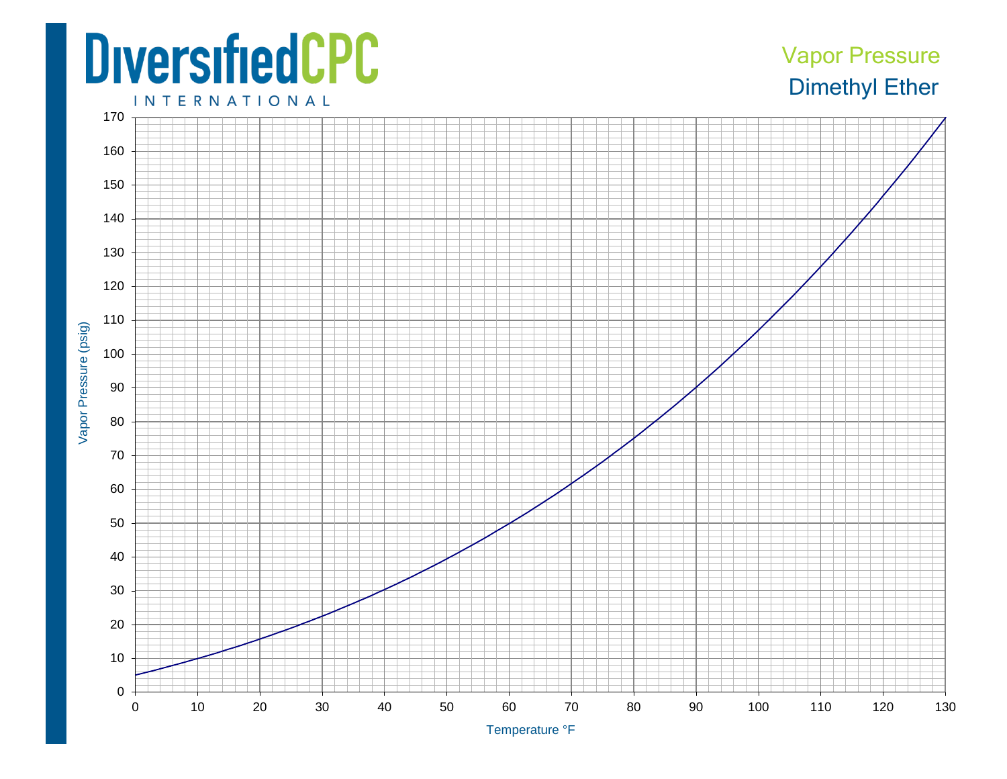## **DiversifiedCPC**

## Dimethyl Ether Vapor Pressure

**INTERNATIONAL** 



Temperature ° F